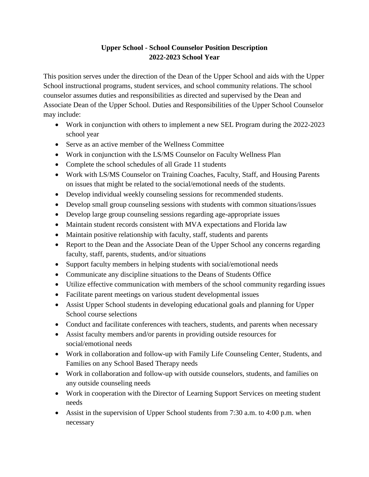## **Upper School - School Counselor Position Description 2022-2023 School Year**

This position serves under the direction of the Dean of the Upper School and aids with the Upper School instructional programs, student services, and school community relations. The school counselor assumes duties and responsibilities as directed and supervised by the Dean and Associate Dean of the Upper School. Duties and Responsibilities of the Upper School Counselor may include:

- Work in conjunction with others to implement a new SEL Program during the 2022-2023 school year
- Serve as an active member of the Wellness Committee
- Work in conjunction with the LS/MS Counselor on Faculty Wellness Plan
- Complete the school schedules of all Grade 11 students
- Work with LS/MS Counselor on Training Coaches, Faculty, Staff, and Housing Parents on issues that might be related to the social/emotional needs of the students.
- Develop individual weekly counseling sessions for recommended students.
- Develop small group counseling sessions with students with common situations/issues
- Develop large group counseling sessions regarding age-appropriate issues
- Maintain student records consistent with MVA expectations and Florida law
- Maintain positive relationship with faculty, staff, students and parents
- Report to the Dean and the Associate Dean of the Upper School any concerns regarding faculty, staff, parents, students, and/or situations
- Support faculty members in helping students with social/emotional needs
- Communicate any discipline situations to the Deans of Students Office
- Utilize effective communication with members of the school community regarding issues
- Facilitate parent meetings on various student developmental issues
- Assist Upper School students in developing educational goals and planning for Upper School course selections
- Conduct and facilitate conferences with teachers, students, and parents when necessary
- Assist faculty members and/or parents in providing outside resources for social/emotional needs
- Work in collaboration and follow-up with Family Life Counseling Center, Students, and Families on any School Based Therapy needs
- Work in collaboration and follow-up with outside counselors, students, and families on any outside counseling needs
- Work in cooperation with the Director of Learning Support Services on meeting student needs
- Assist in the supervision of Upper School students from 7:30 a.m. to 4:00 p.m. when necessary